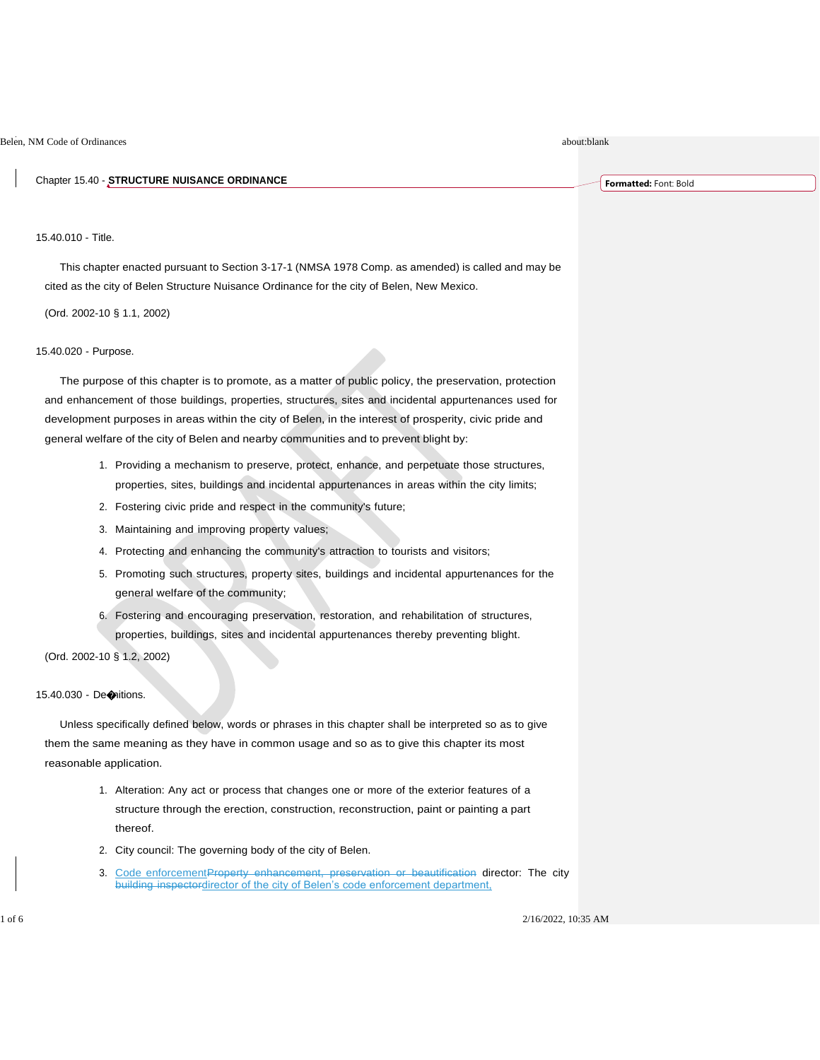Chapter 15.40 - **STRUCTURE NUISANCE ORDINANCE**

15.40.010 - Title.

This chapter enacted pursuant to Section 3-17-1 (NMSA 1978 Comp. as amended) is called and may be cited as the city of Belen Structure Nuisance Ordinance for the city of Belen, New Mexico.

(Ord. 2002-10 § 1.1, 2002)

## 15.40.020 - Purpose.

The purpose of this chapter is to promote, as a matter of public policy, the preservation, protection and enhancement of those buildings, properties, structures, sites and incidental appurtenances used for development purposes in areas within the city of Belen, in the interest of prosperity, civic pride and general welfare of the city of Belen and nearby communities and to prevent blight by:

- 1. Providing a mechanism to preserve, protect, enhance, and perpetuate those structures, properties, sites, buildings and incidental appurtenances in areas within the city limits;
- 2. Fostering civic pride and respect in the community's future;
- 3. Maintaining and improving property values;
- 4. Protecting and enhancing the community's attraction to tourists and visitors;
- 5. Promoting such structures, property sites, buildings and incidental appurtenances for the general welfare of the community;
- 6. Fostering and encouraging preservation, restoration, and rehabilitation of structures, properties, buildings, sites and incidental appurtenances thereby preventing blight.

(Ord. 2002-10 § 1.2, 2002)

### 15.40.030 - De�nitions.

Unless specifically defined below, words or phrases in this chapter shall be interpreted so as to give them the same meaning as they have in common usage and so as to give this chapter its most reasonable application.

- 1. Alteration: Any act or process that changes one or more of the exterior features of a structure through the erection, construction, reconstruction, paint or painting a part thereof.
- 2. City council: The governing body of the city of Belen.
- 3. Code enforcementProperty enhancement, preservation or beautification director: The city building inspectordirector of the city of Belen's code enforcement department,

**Formatted:** Font: Bold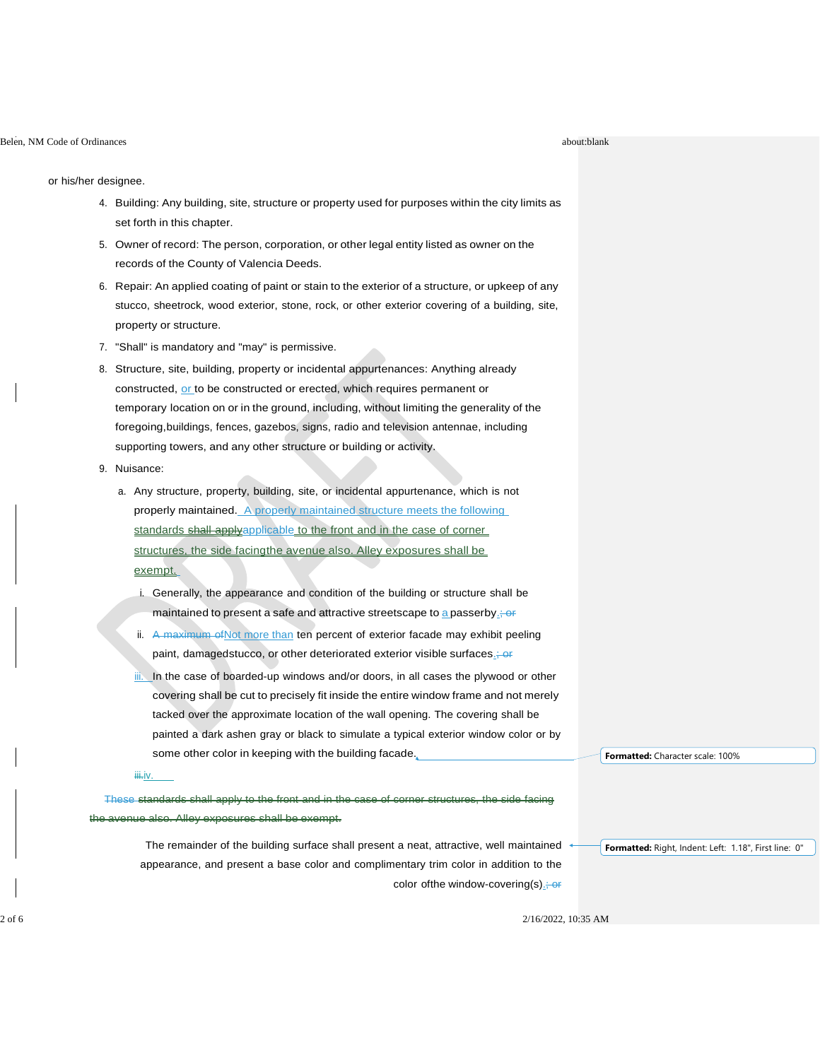or his/her designee.

- 4. Building: Any building, site, structure or property used for purposes within the city limits as set forth in this chapter.
- 5. Owner of record: The person, corporation, or other legal entity listed as owner on the records of the County of Valencia Deeds.
- 6. Repair: An applied coating of paint or stain to the exterior of a structure, or upkeep of any stucco, sheetrock, wood exterior, stone, rock, or other exterior covering of a building, site, property or structure.
- 7. "Shall" is mandatory and "may" is permissive.
- 8. Structure, site, building, property or incidental appurtenances: Anything already constructed, or to be constructed or erected, which requires permanent or temporary location on or in the ground, including, without limiting the generality of the foregoing,buildings, fences, gazebos, signs, radio and television antennae, including supporting towers, and any other structure or building or activity.
- 9. Nuisance:

iii.jv.

- a. Any structure, property, building, site, or incidental appurtenance, which is not properly maintained. A properly maintained structure meets the following standards shall applyapplicable to the front and in the case of corner structures, the side facingthe avenue also. Alley exposures shall be exempt.
	- i. Generally, the appearance and condition of the building or structure shall be maintained to present a safe and attractive streetscape to a passerby.
	- ii. A maximum of Not more than ten percent of exterior facade may exhibit peeling paint, damagedstucco, or other deteriorated exterior visible surfaces. or
	- iii. In the case of boarded-up windows and/or doors, in all cases the plywood or other covering shall be cut to precisely fit inside the entire window frame and not merely tacked over the approximate location of the wall opening. The covering shall be painted a dark ashen gray or black to simulate a typical exterior window color or by some other color in keeping with the building facade.

These standards shall apply to the front and in the case of corner structures, the side facing avenue also. Alley exposures shall be exempt.

The remainder of the building surface shall present a neat, attractive, well maintained appearance, and present a base color and complimentary trim color in addition to the color of the window-covering(s). $\div$  or

**Formatted:** Character scale: 100%

**Formatted:** Right, Indent: Left: 1.18", First line: 0"

2/16/2022, 10:35 AM 2/16/2022, 10:35 AM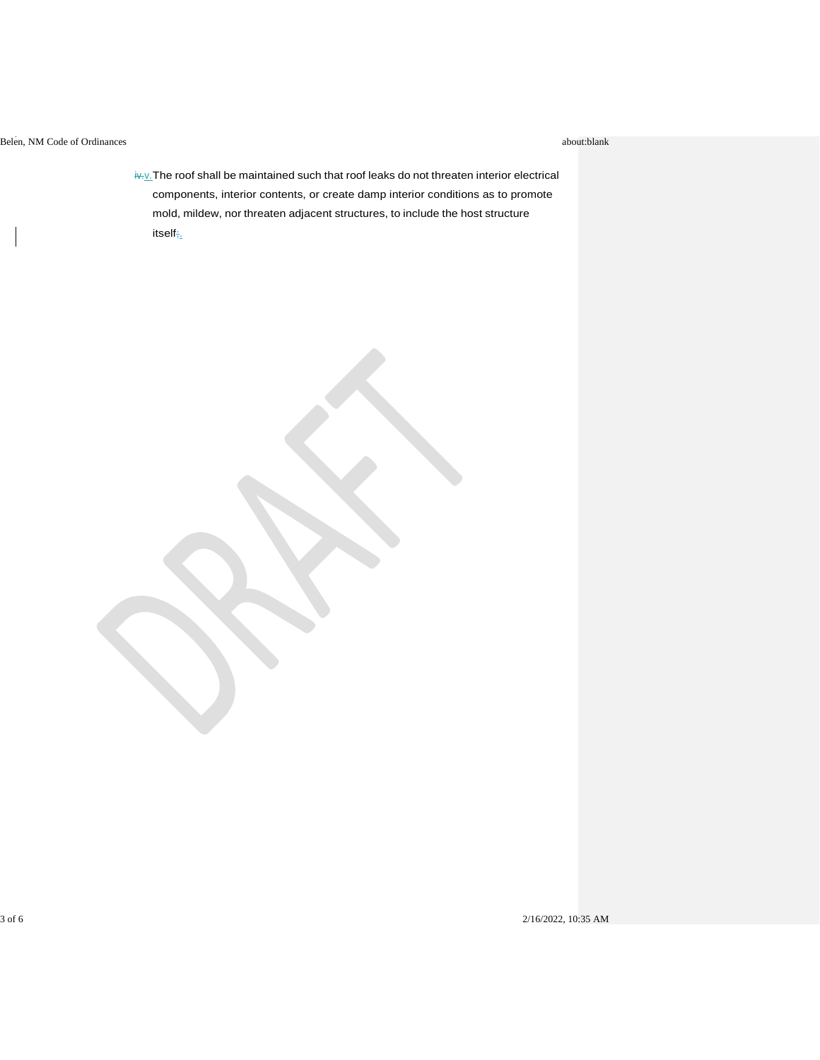iv.v. The roof shall be maintained such that roof leaks do not threaten interior electrical components, interior contents, or create damp interior conditions as to promote mold, mildew, nor threaten adjacent structures, to include the host structure itself;.

3 of 6 2/16/2022, 10:35 AM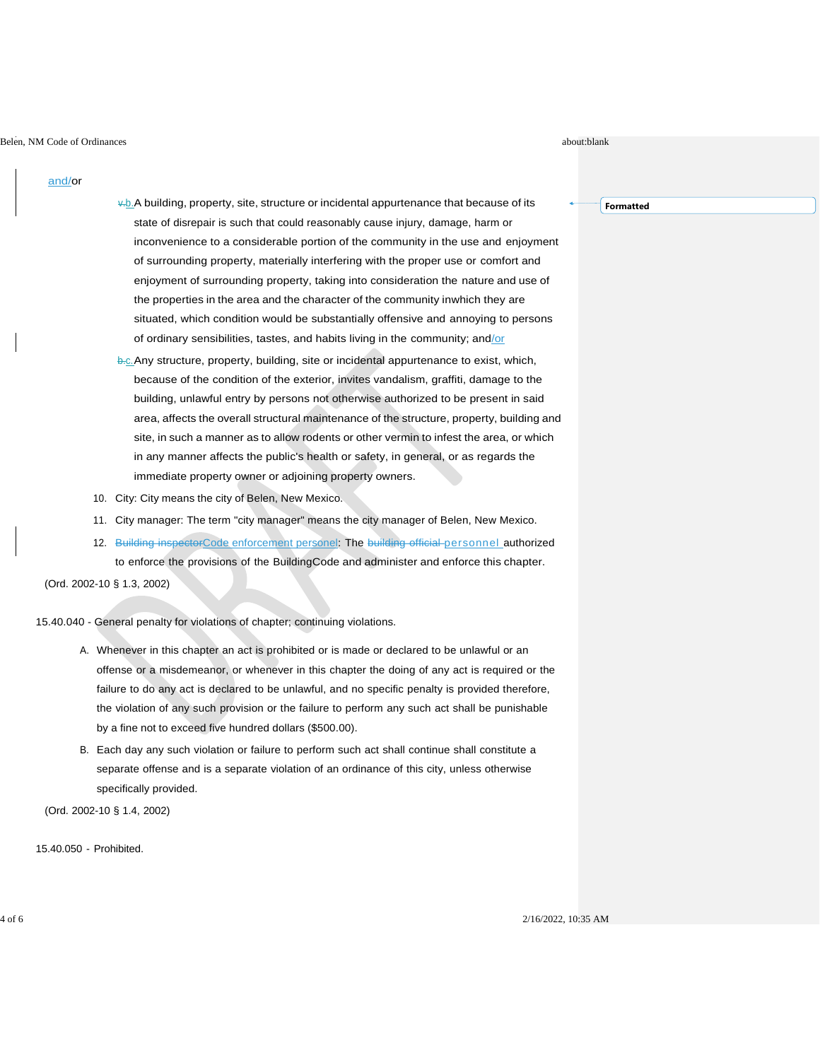## and/or

- $\frac{1}{2}$ . A building, property, site, structure or incidental appurtenance that because of its state of disrepair is such that could reasonably cause injury, damage, harm or inconvenience to a considerable portion of the community in the use and enjoyment of surrounding property, materially interfering with the proper use or comfort and enjoyment of surrounding property, taking into consideration the nature and use of the properties in the area and the character of the community inwhich they are situated, which condition would be substantially offensive and annoying to persons of ordinary sensibilities, tastes, and habits living in the community; and/or
- b.c. Any structure, property, building, site or incidental appurtenance to exist, which, because of the condition of the exterior, invites vandalism, graffiti, damage to the building, unlawful entry by persons not otherwise authorized to be present in said area, affects the overall structural maintenance of the structure, property, building and site, in such a manner as to allow rodents or other vermin to infest the area, or which in any manner affects the public's health or safety, in general, or as regards the immediate property owner or adjoining property owners.
- 10. City: City means the city of Belen, New Mexico.
- 11. City manager: The term "city manager" means the city manager of Belen, New Mexico.
- 12. Building inspectorCode enforcement personel: The building official personnel authorized to enforce the provisions of the BuildingCode and administer and enforce this chapter.

(Ord. 2002-10 § 1.3, 2002)

15.40.040 - General penalty for violations of chapter; continuing violations.

- A. Whenever in this chapter an act is prohibited or is made or declared to be unlawful or an offense or a misdemeanor, or whenever in this chapter the doing of any act is required or the failure to do any act is declared to be unlawful, and no specific penalty is provided therefore, the violation of any such provision or the failure to perform any such act shall be punishable by a fine not to exceed five hundred dollars (\$500.00).
- B. Each day any such violation or failure to perform such act shall continue shall constitute a separate offense and is a separate violation of an ordinance of this city, unless otherwise specifically provided.

(Ord. 2002-10 § 1.4, 2002)

15.40.050 - Prohibited.

**Formatted**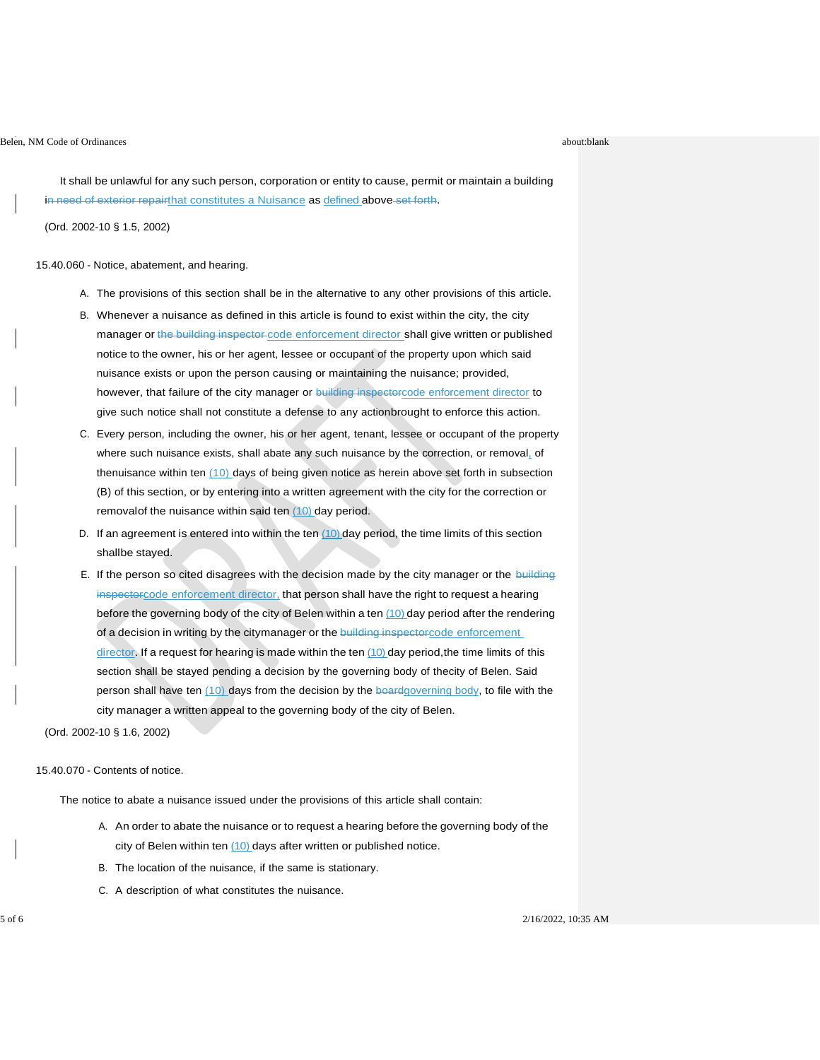It shall be unlawful for any such person, corporation or entity to cause, permit or maintain a building in need of exterior repairthat constitutes a Nuisance as defined above set forth.

(Ord. 2002-10 § 1.5, 2002)

15.40.060 - Notice, abatement, and hearing.

- A. The provisions of this section shall be in the alternative to any other provisions of this article.
- B. Whenever a nuisance as defined in this article is found to exist within the city, the city manager or the building inspector code enforcement director shall give written or published notice to the owner, his or her agent, lessee or occupant of the property upon which said nuisance exists or upon the person causing or maintaining the nuisance; provided, however, that failure of the city manager or building inspectorcode enforcement director to give such notice shall not constitute a defense to any actionbrought to enforce this action.
- C. Every person, including the owner, his or her agent, tenant, lessee or occupant of the property where such nuisance exists, shall abate any such nuisance by the correction, or removal, of thenuisance within ten (10) days of being given notice as herein above set forth in subsection (B) of this section, or by entering into a written agreement with the city for the correction or removalof the nuisance within said ten (10) day period.
- D. If an agreement is entered into within the ten (10) day period, the time limits of this section shallbe stayed.
- E. If the person so cited disagrees with the decision made by the city manager or the building inspectorcode enforcement director, that person shall have the right to request a hearing before the governing body of the city of Belen within a ten (10) day period after the rendering of a decision in writing by the citymanager or the building inspectorcode enforcement director. If a request for hearing is made within the ten (10) day period, the time limits of this section shall be stayed pending a decision by the governing body of thecity of Belen. Said person shall have ten (10) days from the decision by the boardgoverning body, to file with the city manager a written appeal to the governing body of the city of Belen.

(Ord. 2002-10 § 1.6, 2002)

15.40.070 - Contents of notice.

The notice to abate a nuisance issued under the provisions of this article shall contain:

- A. An order to abate the nuisance or to request a hearing before the governing body of the city of Belen within ten (10) days after written or published notice.
- B. The location of the nuisance, if the same is stationary.
- C. A description of what constitutes the nuisance.

5 of 6 2/16/2022, 10:35 AM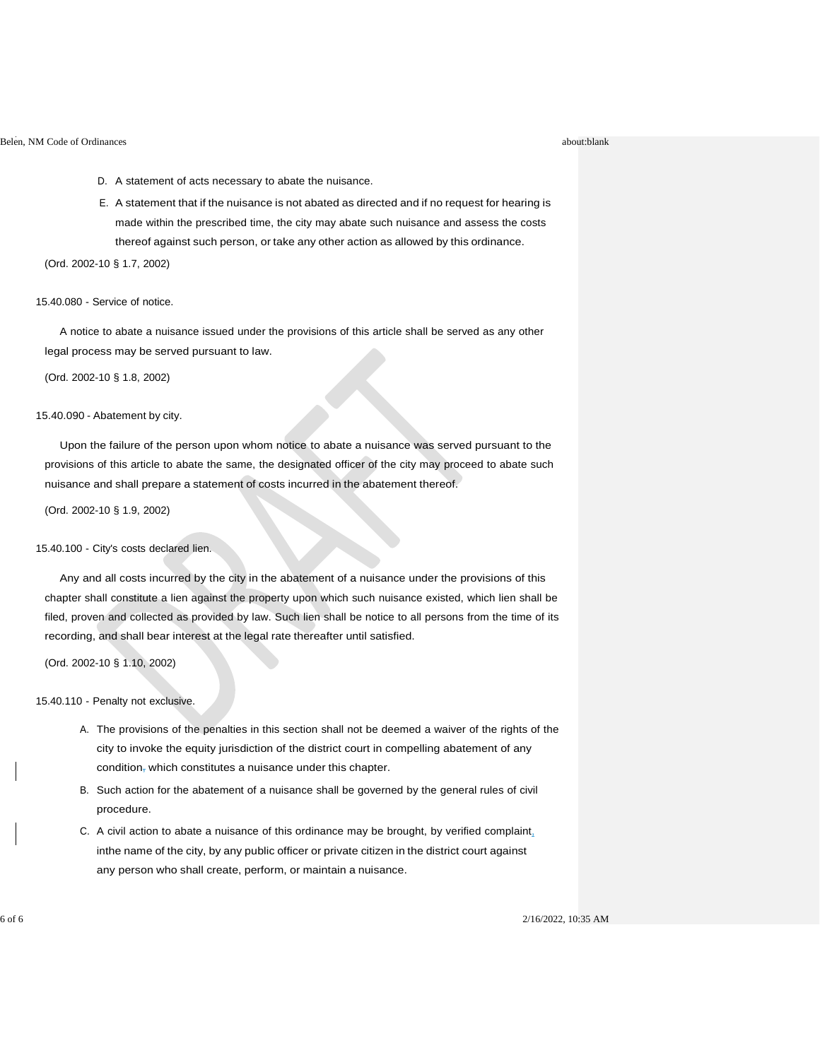- D. A statement of acts necessary to abate the nuisance.
- E. A statement that if the nuisance is not abated as directed and if no request for hearing is made within the prescribed time, the city may abate such nuisance and assess the costs thereof against such person, or take any other action as allowed by this ordinance.

(Ord. 2002-10 § 1.7, 2002)

15.40.080 - Service of notice.

A notice to abate a nuisance issued under the provisions of this article shall be served as any other legal process may be served pursuant to law.

(Ord. 2002-10 § 1.8, 2002)

15.40.090 - Abatement by city.

Upon the failure of the person upon whom notice to abate a nuisance was served pursuant to the provisions of this article to abate the same, the designated officer of the city may proceed to abate such nuisance and shall prepare a statement of costs incurred in the abatement thereof.

(Ord. 2002-10 § 1.9, 2002)

15.40.100 - City's costs declared lien.

Any and all costs incurred by the city in the abatement of a nuisance under the provisions of this chapter shall constitute a lien against the property upon which such nuisance existed, which lien shall be filed, proven and collected as provided by law. Such lien shall be notice to all persons from the time of its recording, and shall bear interest at the legal rate thereafter until satisfied.

(Ord. 2002-10 § 1.10, 2002)

15.40.110 - Penalty not exclusive.

- A. The provisions of the penalties in this section shall not be deemed a waiver of the rights of the city to invoke the equity jurisdiction of the district court in compelling abatement of any condition, which constitutes a nuisance under this chapter.
- B. Such action for the abatement of a nuisance shall be governed by the general rules of civil procedure.
- C. A civil action to abate a nuisance of this ordinance may be brought, by verified complaint, inthe name of the city, by any public officer or private citizen in the district court against any person who shall create, perform, or maintain a nuisance.